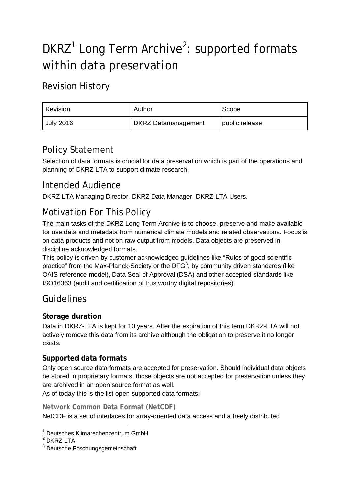# DKRZ<sup>[1](#page-0-0)</sup> Long Term Archive<sup>[2](#page-0-1)</sup>: supported formats within data preservation

# Revision History

| Revision         | Author                     | Scope          |
|------------------|----------------------------|----------------|
| <b>July 2016</b> | <b>DKRZ Datamanagement</b> | public release |

# Policy Statement

Selection of data formats is crucial for data preservation which is part of the operations and planning of DKRZ-LTA to support climate research.

## Intended Audience

DKRZ LTA Managing Director, DKRZ Data Manager, DKRZ-LTA Users.

## Motivation For This Policy

The main tasks of the DKRZ Long Term Archive is to choose, preserve and make available for use data and metadata from numerical climate models and related observations. Focus is on data products and not on raw output from models. Data objects are preserved in discipline acknowledged formats.

This policy is driven by customer acknowledged guidelines like "Rules of good scientific practice" from the Max-Planck-Society or the DFG<sup>[3](#page-0-2)</sup>, by community driven standards (like OAIS reference model), Data Seal of Approval (DSA) and other accepted standards like ISO16363 (audit and certification of trustworthy digital repositories).

## Guidelines

## **Storage duration**

Data in DKRZ-LTA is kept for 10 years. After the expiration of this term DKRZ-LTA will not actively remove this data from its archive although the obligation to preserve it no longer exists.

### **Supported data formats**

Only open source data formats are accepted for preservation. Should individual data objects be stored in proprietary formats, those objects are not accepted for preservation unless they are archived in an open source format as well.

As of today this is the list open supported data formats:

#### **Network Common Data Format (NetCDF)**

NetCDF is a set of interfaces for array-oriented data access and a freely distributed

<span id="page-0-0"></span><sup>&</sup>lt;sup>1</sup> Deutsches Klimarechenzentrum GmbH

<span id="page-0-1"></span><sup>2</sup> DKRZ-LTA

<span id="page-0-2"></span><sup>3</sup> Deutsche Foschungsgemeinschaft